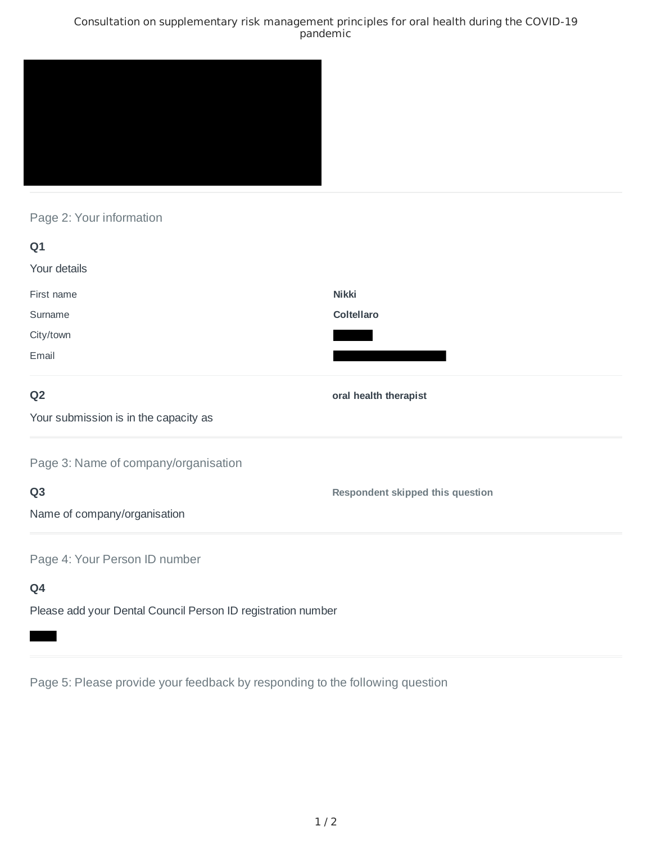### Consultation on supplementary risk management principles for oral health during the COVID-19 pandemic



# Page 2: Your information

| Q1                                                           |                                         |
|--------------------------------------------------------------|-----------------------------------------|
| Your details                                                 |                                         |
| First name                                                   | <b>Nikki</b>                            |
| Surname                                                      | Coltellaro                              |
| City/town                                                    |                                         |
| Email                                                        |                                         |
| Q <sub>2</sub>                                               | oral health therapist                   |
| Your submission is in the capacity as                        |                                         |
| Page 3: Name of company/organisation                         |                                         |
| Q <sub>3</sub>                                               | <b>Respondent skipped this question</b> |
| Name of company/organisation                                 |                                         |
| Page 4: Your Person ID number                                |                                         |
| Q4                                                           |                                         |
| Please add your Dental Council Person ID registration number |                                         |

Page 5: Please provide your feedback by responding to the following question